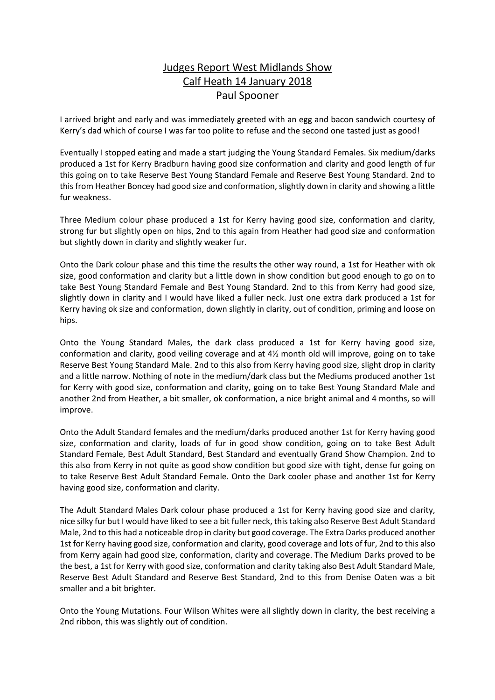## Judges Report West Midlands Show Calf Heath 14 January 2018 Paul Spooner

I arrived bright and early and was immediately greeted with an egg and bacon sandwich courtesy of Kerry's dad which of course I was far too polite to refuse and the second one tasted just as good!

Eventually I stopped eating and made a start judging the Young Standard Females. Six medium/darks produced a 1st for Kerry Bradburn having good size conformation and clarity and good length of fur this going on to take Reserve Best Young Standard Female and Reserve Best Young Standard. 2nd to this from Heather Boncey had good size and conformation, slightly down in clarity and showing a little fur weakness.

Three Medium colour phase produced a 1st for Kerry having good size, conformation and clarity, strong fur but slightly open on hips, 2nd to this again from Heather had good size and conformation but slightly down in clarity and slightly weaker fur.

Onto the Dark colour phase and this time the results the other way round, a 1st for Heather with ok size, good conformation and clarity but a little down in show condition but good enough to go on to take Best Young Standard Female and Best Young Standard. 2nd to this from Kerry had good size, slightly down in clarity and I would have liked a fuller neck. Just one extra dark produced a 1st for Kerry having ok size and conformation, down slightly in clarity, out of condition, priming and loose on hips.

Onto the Young Standard Males, the dark class produced a 1st for Kerry having good size, conformation and clarity, good veiling coverage and at 4½ month old will improve, going on to take Reserve Best Young Standard Male. 2nd to this also from Kerry having good size, slight drop in clarity and a little narrow. Nothing of note in the medium/dark class but the Mediums produced another 1st for Kerry with good size, conformation and clarity, going on to take Best Young Standard Male and another 2nd from Heather, a bit smaller, ok conformation, a nice bright animal and 4 months, so will improve.

Onto the Adult Standard females and the medium/darks produced another 1st for Kerry having good size, conformation and clarity, loads of fur in good show condition, going on to take Best Adult Standard Female, Best Adult Standard, Best Standard and eventually Grand Show Champion. 2nd to this also from Kerry in not quite as good show condition but good size with tight, dense fur going on to take Reserve Best Adult Standard Female. Onto the Dark cooler phase and another 1st for Kerry having good size, conformation and clarity.

The Adult Standard Males Dark colour phase produced a 1st for Kerry having good size and clarity, nice silky fur but I would have liked to see a bit fuller neck, thistaking also Reserve Best Adult Standard Male, 2nd to this had a noticeable drop in clarity but good coverage. The Extra Darks produced another 1st for Kerry having good size, conformation and clarity, good coverage and lots of fur, 2nd to this also from Kerry again had good size, conformation, clarity and coverage. The Medium Darks proved to be the best, a 1st for Kerry with good size, conformation and clarity taking also Best Adult Standard Male, Reserve Best Adult Standard and Reserve Best Standard, 2nd to this from Denise Oaten was a bit smaller and a bit brighter.

Onto the Young Mutations. Four Wilson Whites were all slightly down in clarity, the best receiving a 2nd ribbon, this was slightly out of condition.